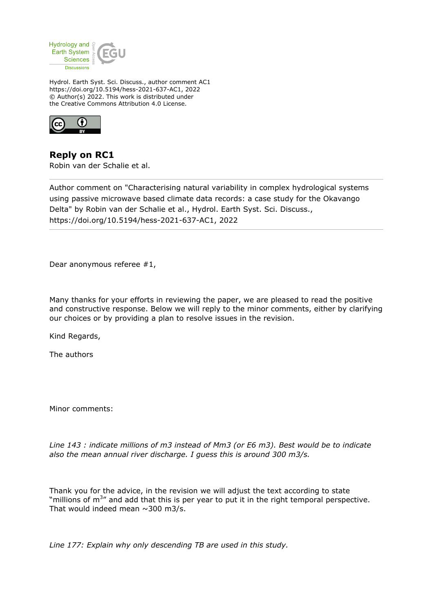

Hydrol. Earth Syst. Sci. Discuss., author comment AC1 https://doi.org/10.5194/hess-2021-637-AC1, 2022 © Author(s) 2022. This work is distributed under the Creative Commons Attribution 4.0 License.



**Reply on RC1** Robin van der Schalie et al.

Author comment on "Characterising natural variability in complex hydrological systems using passive microwave based climate data records: a case study for the Okavango Delta" by Robin van der Schalie et al., Hydrol. Earth Syst. Sci. Discuss., https://doi.org/10.5194/hess-2021-637-AC1, 2022

Dear anonymous referee #1,

Many thanks for your efforts in reviewing the paper, we are pleased to read the positive and constructive response. Below we will reply to the minor comments, either by clarifying our choices or by providing a plan to resolve issues in the revision.

Kind Regards,

The authors

Minor comments:

*Line 143 : indicate millions of m3 instead of Mm3 (or E6 m3). Best would be to indicate also the mean annual river discharge. I guess this is around 300 m3/s.*

Thank you for the advice, in the revision we will adjust the text according to state "millions of  $m^{3}$ " and add that this is per year to put it in the right temporal perspective. That would indeed mean  $\sim$  300 m3/s.

*Line 177: Explain why only descending TB are used in this study.*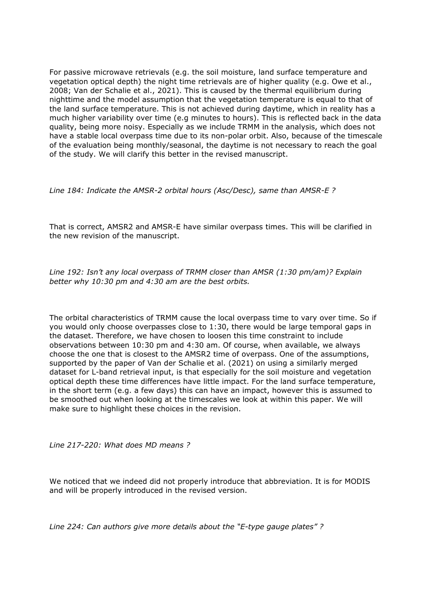For passive microwave retrievals (e.g. the soil moisture, land surface temperature and vegetation optical depth) the night time retrievals are of higher quality (e.g. Owe et al., 2008; Van der Schalie et al., 2021). This is caused by the thermal equilibrium during nighttime and the model assumption that the vegetation temperature is equal to that of the land surface temperature. This is not achieved during daytime, which in reality has a much higher variability over time (e.g minutes to hours). This is reflected back in the data quality, being more noisy. Especially as we include TRMM in the analysis, which does not have a stable local overpass time due to its non-polar orbit. Also, because of the timescale of the evaluation being monthly/seasonal, the daytime is not necessary to reach the goal of the study. We will clarify this better in the revised manuscript.

*Line 184: Indicate the AMSR-2 orbital hours (Asc/Desc), same than AMSR-E ?*

That is correct, AMSR2 and AMSR-E have similar overpass times. This will be clarified in the new revision of the manuscript.

*Line 192: Isn't any local overpass of TRMM closer than AMSR (1:30 pm/am)? Explain better why 10:30 pm and 4:30 am are the best orbits.*

The orbital characteristics of TRMM cause the local overpass time to vary over time. So if you would only choose overpasses close to 1:30, there would be large temporal gaps in the dataset. Therefore, we have chosen to loosen this time constraint to include observations between 10:30 pm and 4:30 am. Of course, when available, we always choose the one that is closest to the AMSR2 time of overpass. One of the assumptions, supported by the paper of Van der Schalie et al. (2021) on using a similarly merged dataset for L-band retrieval input, is that especially for the soil moisture and vegetation optical depth these time differences have little impact. For the land surface temperature, in the short term (e.g. a few days) this can have an impact, however this is assumed to be smoothed out when looking at the timescales we look at within this paper. We will make sure to highlight these choices in the revision.

*Line 217-220: What does MD means ?*

We noticed that we indeed did not properly introduce that abbreviation. It is for MODIS and will be properly introduced in the revised version.

*Line 224: Can authors give more details about the "E-type gauge plates" ?*